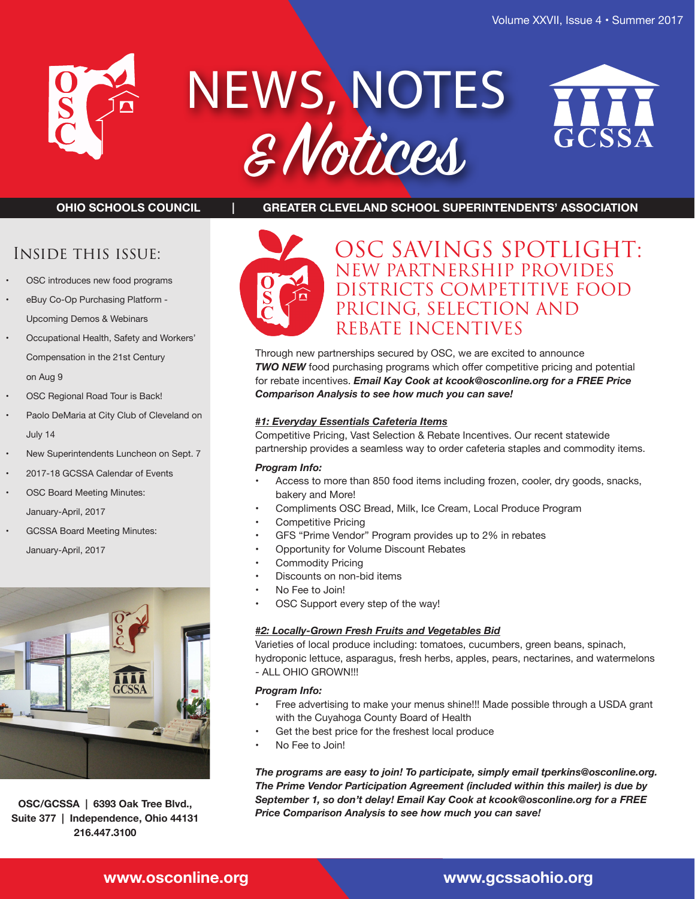

# NEWS, NOTES & Notices



**OHIO SCHOOLS COUNCIL | GREATER CLEVELAND SCHOOL SUPERINTENDENTS' ASSOCIATION**

# Inside this issue:

- OSC introduces new food programs
- eBuy Co-Op Purchasing Platform Upcoming Demos & Webinars
- Occupational Health, Safety and Workers' Compensation in the 21st Century on Aug 9
- OSC Regional Road Tour is Back!
- Paolo DeMaria at City Club of Cleveland on July 14
- New Superintendents Luncheon on Sept. 7
- 2017-18 GCSSA Calendar of Events
- OSC Board Meeting Minutes: January-April, 2017
- GCSSA Board Meeting Minutes: January-April, 2017



**OSC/GCSSA | 6393 Oak Tree Blvd., Suite 377 | Independence, Ohio 44131 216.447.3100**



# OSC SAVINGS SPOTLIGHT: NEW PARTNERSHIP PROVIDES DISTRICTS COMPETITIVE FOOD PRICING, SELECTION AND REBATE INCENTIVES

Through new partnerships secured by OSC, we are excited to announce *TWO NEW* food purchasing programs which offer competitive pricing and potential for rebate incentives. *Email Kay Cook at kcook@osconline.org for a FREE Price Comparison Analysis to see how much you can save!*

#### *#1: Everyday Essentials Cafeteria Items*

Competitive Pricing, Vast Selection & Rebate Incentives. Our recent statewide partnership provides a seamless way to order cafeteria staples and commodity items.

#### *Program Info:*

- Access to more than 850 food items including frozen, cooler, dry goods, snacks, bakery and More!
- Compliments OSC Bread, Milk, Ice Cream, Local Produce Program
- Competitive Pricing
- GFS "Prime Vendor" Program provides up to 2% in rebates
- Opportunity for Volume Discount Rebates
- Commodity Pricing
- Discounts on non-bid items
- No Fee to Join!
- OSC Support every step of the way!

#### *#2: Locally-Grown Fresh Fruits and Vegetables Bid*

Varieties of local produce including: tomatoes, cucumbers, green beans, spinach, hydroponic lettuce, asparagus, fresh herbs, apples, pears, nectarines, and watermelons - ALL OHIO GROWN!!!

#### *Program Info:*

- Free advertising to make your menus shine!!! Made possible through a USDA grant with the Cuyahoga County Board of Health
- Get the best price for the freshest local produce
- No Fee to Join!

*The programs are easy to join! To participate, simply email tperkins@osconline.org. The Prime Vendor Participation Agreement (included within this mailer) is due by September 1, so don't delay! Email Kay Cook at kcook@osconline.org for a FREE Price Comparison Analysis to see how much you can save!*

# **www.osconline.org www.gcssaohio.org**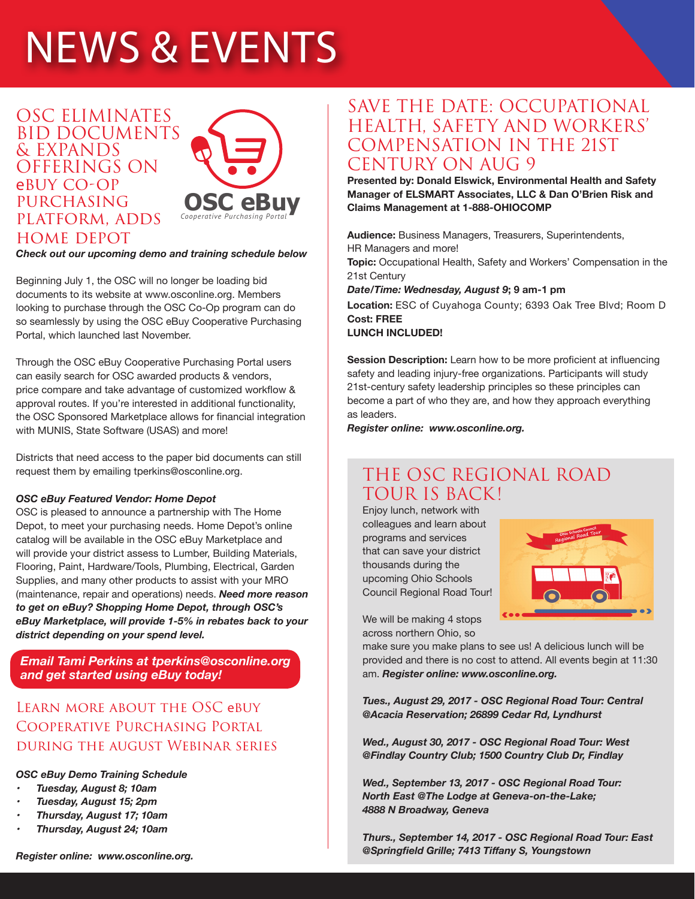# NEWS & EVENTS

# OSC ELIMINATES BID DOCUMENTS & EXPANDS OFFERINGS ON ebuy CO-OP **PURCHASING** platform, adds home depot



#### *Check out our upcoming demo and training schedule below*

Beginning July 1, the OSC will no longer be loading bid documents to its website at www.osconline.org. Members looking to purchase through the OSC Co-Op program can do so seamlessly by using the OSC eBuy Cooperative Purchasing Portal, which launched last November.

Through the OSC eBuy Cooperative Purchasing Portal users can easily search for OSC awarded products & vendors, price compare and take advantage of customized workflow & approval routes. If you're interested in additional functionality, the OSC Sponsored Marketplace allows for financial integration with MUNIS, State Software (USAS) and more!

Districts that need access to the paper bid documents can still request them by emailing tperkins@osconline.org.

#### *OSC eBuy Featured Vendor: Home Depot*

OSC is pleased to announce a partnership with The Home Depot, to meet your purchasing needs. Home Depot's online catalog will be available in the OSC eBuy Marketplace and will provide your district assess to Lumber, Building Materials, Flooring, Paint, Hardware/Tools, Plumbing, Electrical, Garden Supplies, and many other products to assist with your MRO (maintenance, repair and operations) needs. *Need more reason to get on eBuy? Shopping Home Depot, through OSC's eBuy Marketplace, will provide 1-5% in rebates back to your district depending on your spend level.*

*Email Tami Perkins at tperkins@osconline.org and get started using eBuy today!*

# Learn more about the OSC ebuy Cooperative Purchasing Portal during the august Webinar series

#### *OSC eBuy Demo Training Schedule*

- *• Tuesday, August 8; 10am*
- *• Tuesday, August 15; 2pm*
- *• Thursday, August 17; 10am*
- *• Thursday, August 24; 10am*

# SAVE THE DATE: OCCUPATIONAL HEALTH, SAFETY AND WORKERS' COMPENSATION IN THE 21ST CENTURY ON AUG 9

**Presented by: Donald Elswick, Environmental Health and Safety Manager of ELSMART Associates, LLC & Dan O'Brien Risk and Claims Management at 1-888-OHIOCOMP**

**Audience:** Business Managers, Treasurers, Superintendents, HR Managers and more!

**Topic:** Occupational Health, Safety and Workers' Compensation in the 21st Century

*Date/Time: Wednesday, August 9***; 9 am-1 pm**

**Location:** ESC of Cuyahoga County; 6393 Oak Tree Blvd; Room D **Cost: FREE**

**LUNCH INCLUDED!**

**Session Description:** Learn how to be more proficient at influencing safety and leading injury-free organizations. Participants will study 21st-century safety leadership principles so these principles can become a part of who they are, and how they approach everything as leaders.

*Register online: www.osconline.org.*

# THE OSC REGIONAL ROAD TOUR IS BACK!

Enjoy lunch, network with colleagues and learn about programs and services that can save your district thousands during the upcoming Ohio Schools Council Regional Road Tour!



We will be making 4 stops across northern Ohio, so

make sure you make plans to see us! A delicious lunch will be provided and there is no cost to attend. All events begin at 11:30 am. *Register online: www.osconline.org.*

*Tues., August 29, 2017 - OSC Regional Road Tour: Central @Acacia Reservation; 26899 Cedar Rd, Lyndhurst*

*Wed., August 30, 2017 - OSC Regional Road Tour: West @Findlay Country Club; 1500 Country Club Dr, Findlay*

*Wed., September 13, 2017 - OSC Regional Road Tour: North East @The Lodge at Geneva-on-the-Lake; 4888 N Broadway, Geneva* 

*Thurs., September 14, 2017 - OSC Regional Road Tour: East @Springfield Grille; 7413 Tiffany S, Youngstown*

*Register online: www.osconline.org.*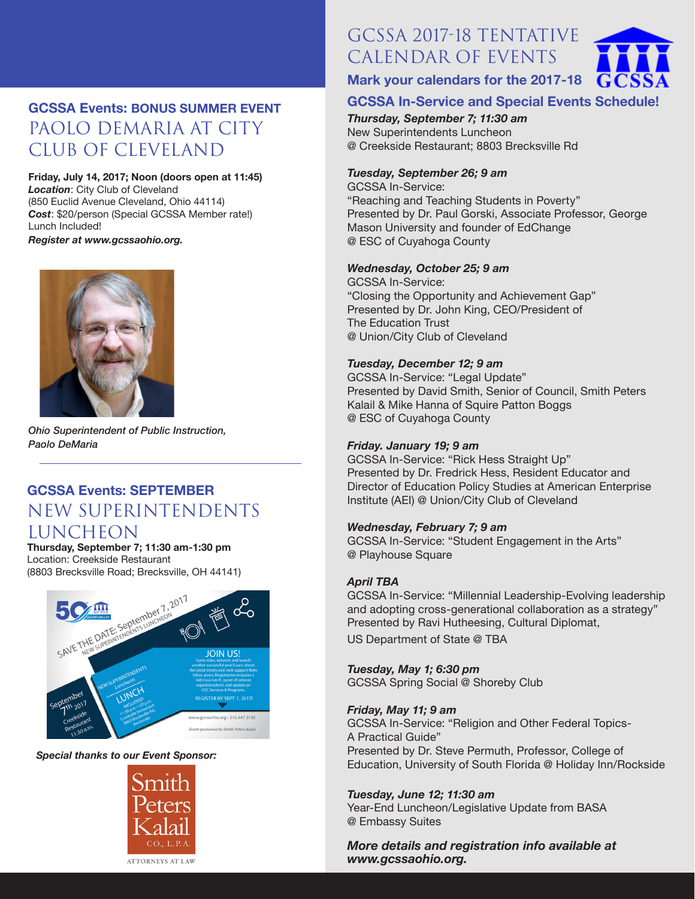# **GCSSA Events: BONUS SUMMER EVENT** PAOLO DEMARIA AT CITY CLUB OF CLEVELAND

#### **Friday, July 14, 2017; Noon (doors open at 11:45)** *Location*: City Club of Cleveland (850 Euclid Avenue Cleveland, Ohio 44114) *Cost*: \$20/person (Special GCSSA Member rate!) Lunch Included!

*Register at www.gcssaohio.org.*



*Ohio Superintendent of Public Instruction, Paolo DeMaria*

# **GCSSA Events: SEPTEMBER** NEW SUPERINTENDENTS LUNCHEON

# **Thursday, September 7; 11:30 am-1:30 pm** Location: Creekside Restaurant

(8803 Brecksville Road; Brecksville, OH 44141)



#### *Special thanks to our Event Sponsor:*



# GCSSA 2017-18 TENTATIVE CALENDAR OF EVENTS



# **Mark your calendars for the 2017-18**

# **GCSSA In-Service and Special Events Schedule!**

*Thursday, September 7; 11:30 am*  New Superintendents Luncheon @ Creekside Restaurant; 8803 Brecksville Rd

# *Tuesday, September 26; 9 am*

GCSSA In-Service: "Reaching and Teaching Students in Poverty" Presented by Dr. Paul Gorski, Associate Professor, George Mason University and founder of EdChange @ ESC of Cuyahoga County

# *Wednesday, October 25; 9 am*

GCSSA In-Service: "Closing the Opportunity and Achievement Gap" Presented by Dr. John King, CEO/President of The Education Trust @ Union/City Club of Cleveland

#### *Tuesday, December 12; 9 am*

GCSSA In-Service: "Legal Update" Presented by David Smith, Senior of Council, Smith Peters Kalail & Mike Hanna of Squire Patton Boggs @ ESC of Cuyahoga County

# *Friday. January 19; 9 am*

GCSSA In-Service: "Rick Hess Straight Up" Presented by Dr. Fredrick Hess, Resident Educator and Director of Education Policy Studies at American Enterprise Institute (AEI) @ Union/City Club of Cleveland

# *Wednesday, February 7; 9 am*

GCSSA In-Service: "Student Engagement in the Arts" @ Playhouse Square

# *April TBA*

GCSSA In-Service: "Millennial Leadership-Evolving leadership and adopting cross-generational collaboration as a strategy" Presented by Ravi Hutheesing, Cultural Diplomat, US Department of State @ TBA

# *Tuesday, May 1; 6:30 pm*

GCSSA Spring Social @ Shoreby Club

# *Friday, May 11; 9 am*

GCSSA In-Service: "Religion and Other Federal Topics-A Practical Guide" Presented by Dr. Steve Permuth, Professor, College of Education, University of South Florida @ Holiday Inn/Rockside

# *Tuesday, June 12; 11:30 am*

Year-End Luncheon/Legislative Update from BASA @ Embassy Suites

*More details and registration info available at www.gcssaohio.org.*